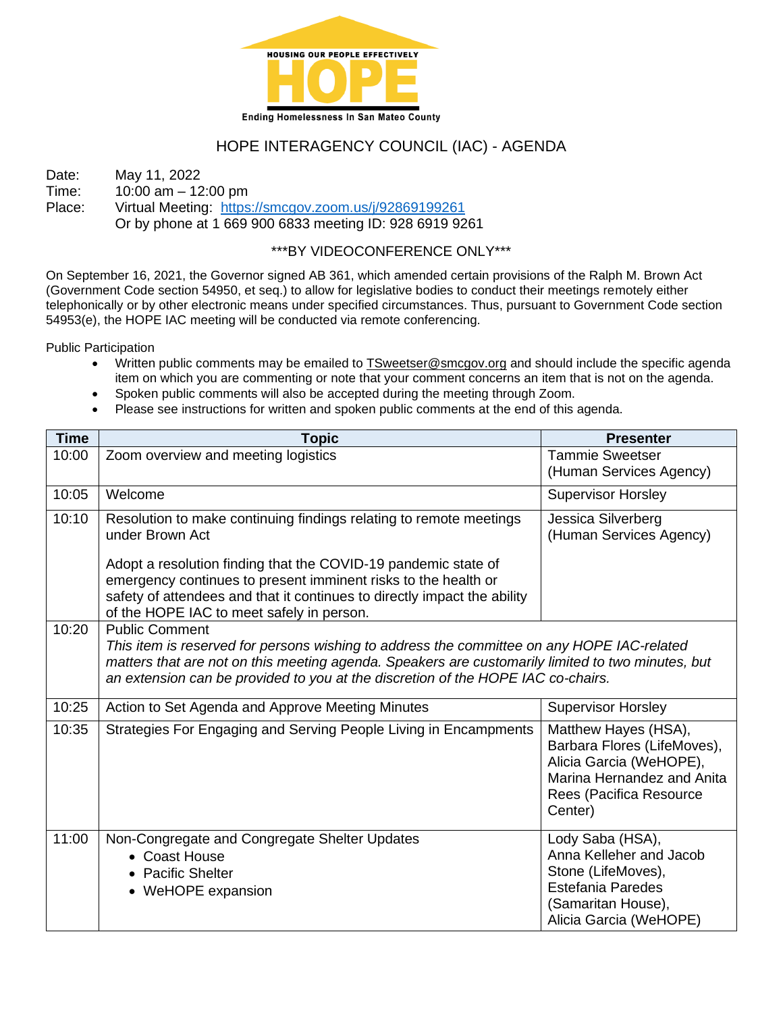

# HOPE INTERAGENCY COUNCIL (IAC) - AGENDA

Date: May 11, 2022<br>Time: 10:00 am - 12  $10:00$  am  $- 12:00$  pm Place: Virtual Meeting: <https://smcgov.zoom.us/j/92869199261> Or by phone at 1 669 900 6833 meeting ID: 928 6919 9261

## \*\*\*BY VIDEOCONFERENCE ONLY\*\*\*

On September 16, 2021, the Governor signed AB 361, which amended certain provisions of the Ralph M. Brown Act (Government Code section 54950, et seq.) to allow for legislative bodies to conduct their meetings remotely either telephonically or by other electronic means under specified circumstances. Thus, pursuant to Government Code section 54953(e), the HOPE IAC meeting will be conducted via remote conferencing.

Public Participation

- Written public comments may be emailed to [TSweetser@smcgov.org](mailto:TSweetser@smcgov.org) and should include the specific agenda item on which you are commenting or note that your comment concerns an item that is not on the agenda.
- Spoken public comments will also be accepted during the meeting through Zoom.
- Please see instructions for written and spoken public comments at the end of this agenda.

| <b>Time</b> | <b>Topic</b>                                                                                                                                                                                                                                                                                                 | <b>Presenter</b>                                                                                                                                   |
|-------------|--------------------------------------------------------------------------------------------------------------------------------------------------------------------------------------------------------------------------------------------------------------------------------------------------------------|----------------------------------------------------------------------------------------------------------------------------------------------------|
| 10:00       | Zoom overview and meeting logistics                                                                                                                                                                                                                                                                          | <b>Tammie Sweetser</b><br>(Human Services Agency)                                                                                                  |
| 10:05       | Welcome                                                                                                                                                                                                                                                                                                      | <b>Supervisor Horsley</b>                                                                                                                          |
| 10:10       | Resolution to make continuing findings relating to remote meetings<br>under Brown Act                                                                                                                                                                                                                        | Jessica Silverberg<br>(Human Services Agency)                                                                                                      |
|             | Adopt a resolution finding that the COVID-19 pandemic state of<br>emergency continues to present imminent risks to the health or<br>safety of attendees and that it continues to directly impact the ability<br>of the HOPE IAC to meet safely in person.                                                    |                                                                                                                                                    |
| 10:20       | <b>Public Comment</b><br>This item is reserved for persons wishing to address the committee on any HOPE IAC-related<br>matters that are not on this meeting agenda. Speakers are customarily limited to two minutes, but<br>an extension can be provided to you at the discretion of the HOPE IAC co-chairs. |                                                                                                                                                    |
| 10:25       | Action to Set Agenda and Approve Meeting Minutes                                                                                                                                                                                                                                                             | <b>Supervisor Horsley</b>                                                                                                                          |
| 10:35       | Strategies For Engaging and Serving People Living in Encampments                                                                                                                                                                                                                                             | Matthew Hayes (HSA),<br>Barbara Flores (LifeMoves),<br>Alicia Garcia (WeHOPE),<br>Marina Hernandez and Anita<br>Rees (Pacifica Resource<br>Center) |
| 11:00       | Non-Congregate and Congregate Shelter Updates<br>• Coast House<br>• Pacific Shelter<br>• WeHOPE expansion                                                                                                                                                                                                    | Lody Saba (HSA),<br>Anna Kelleher and Jacob<br>Stone (LifeMoves),<br><b>Estefania Paredes</b><br>(Samaritan House),<br>Alicia Garcia (WeHOPE)      |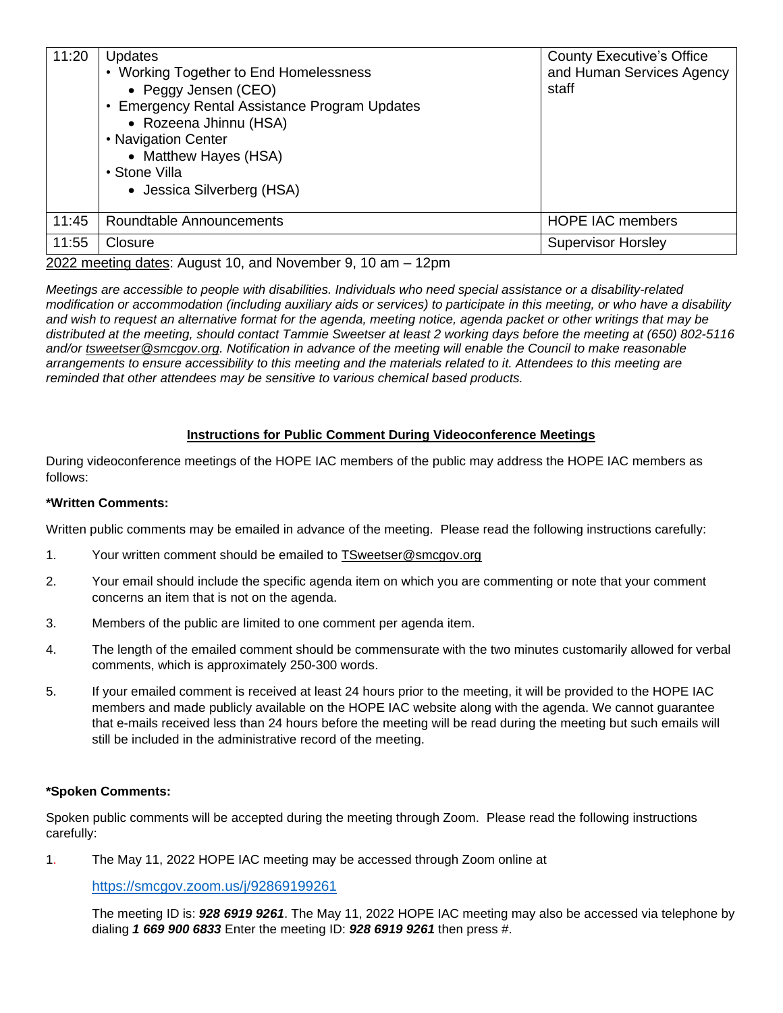| 11:20 | <b>Updates</b><br>• Working Together to End Homelessness<br>• Peggy Jensen (CEO)<br><b>Emergency Rental Assistance Program Updates</b><br>• Rozeena Jhinnu (HSA)<br>• Navigation Center<br>• Matthew Hayes (HSA)<br>• Stone Villa<br>• Jessica Silverberg (HSA) | <b>County Executive's Office</b><br>and Human Services Agency<br>staff |
|-------|-----------------------------------------------------------------------------------------------------------------------------------------------------------------------------------------------------------------------------------------------------------------|------------------------------------------------------------------------|
| 11:45 | Roundtable Announcements                                                                                                                                                                                                                                        | <b>HOPE IAC members</b>                                                |
| 11:55 | Closure                                                                                                                                                                                                                                                         | <b>Supervisor Horsley</b>                                              |
|       | .<br>$\cdot$ . $\cdot$ . A<br>$\sim$ $\sim$<br>$\sim$ $\sim$ $\sim$                                                                                                                                                                                             |                                                                        |

2022 meeting dates: August 10, and November 9, 10 am – 12pm

*Meetings are accessible to people with disabilities. Individuals who need special assistance or a disability-related modification or accommodation (including auxiliary aids or services) to participate in this meeting, or who have a disability and wish to request an alternative format for the agenda, meeting notice, agenda packet or other writings that may be distributed at the meeting, should contact Tammie Sweetser at least 2 working days before the meeting at (650) 802-5116 and/or [tsweetser@smcgov.org.](mailto:tsweetser@smcgov.org) Notification in advance of the meeting will enable the Council to make reasonable arrangements to ensure accessibility to this meeting and the materials related to it. Attendees to this meeting are reminded that other attendees may be sensitive to various chemical based products.*

#### **Instructions for Public Comment During Videoconference Meetings**

During videoconference meetings of the HOPE IAC members of the public may address the HOPE IAC members as follows:

#### **\*Written Comments:**

Written public comments may be emailed in advance of the meeting. Please read the following instructions carefully:

- 1. Your written comment should be emailed to **[TSweetser@smcgov.org](mailto:TSweetser@smcgov.org)**
- 2. Your email should include the specific agenda item on which you are commenting or note that your comment concerns an item that is not on the agenda.
- 3. Members of the public are limited to one comment per agenda item.
- 4. The length of the emailed comment should be commensurate with the two minutes customarily allowed for verbal comments, which is approximately 250-300 words.
- 5. If your emailed comment is received at least 24 hours prior to the meeting, it will be provided to the HOPE IAC members and made publicly available on the HOPE IAC website along with the agenda. We cannot guarantee that e-mails received less than 24 hours before the meeting will be read during the meeting but such emails will still be included in the administrative record of the meeting.

#### **\*Spoken Comments:**

Spoken public comments will be accepted during the meeting through Zoom. Please read the following instructions carefully:

1. The May 11, 2022 HOPE IAC meeting may be accessed through Zoom online at

<https://smcgov.zoom.us/j/92869199261>

The meeting ID is: *928 6919 9261*. The May 11, 2022 HOPE IAC meeting may also be accessed via telephone by dialing *1 669 900 6833* Enter the meeting ID: *928 6919 9261* then press #.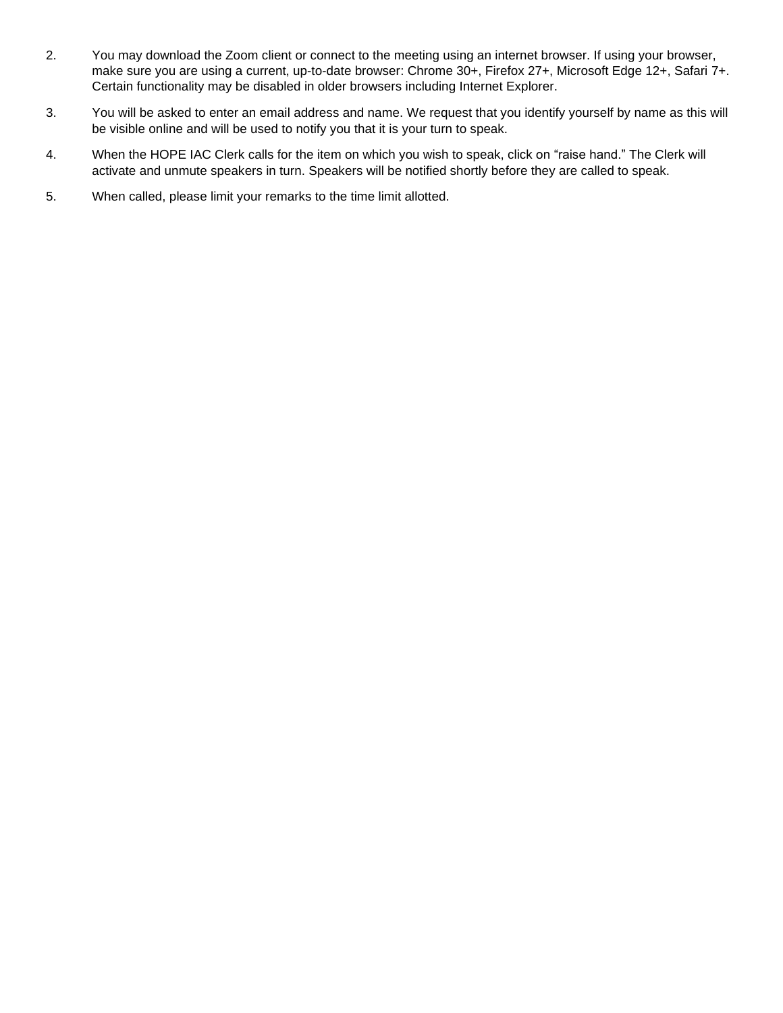- 2. You may download the Zoom client or connect to the meeting using an internet browser. If using your browser, make sure you are using a current, up-to-date browser: Chrome 30+, Firefox 27+, Microsoft Edge 12+, Safari 7+. Certain functionality may be disabled in older browsers including Internet Explorer.
- 3. You will be asked to enter an email address and name. We request that you identify yourself by name as this will be visible online and will be used to notify you that it is your turn to speak.
- 4. When the HOPE IAC Clerk calls for the item on which you wish to speak, click on "raise hand." The Clerk will activate and unmute speakers in turn. Speakers will be notified shortly before they are called to speak.
- 5. When called, please limit your remarks to the time limit allotted.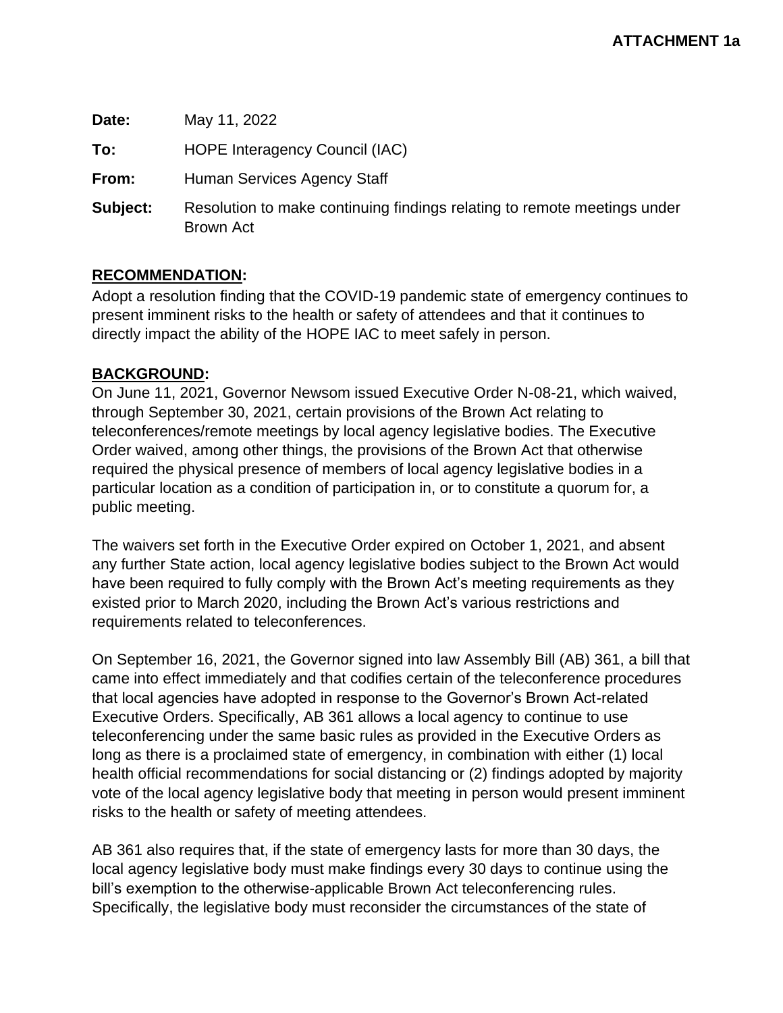**Date:** May 11, 2022 **To:** HOPE Interagency Council (IAC) **From:** Human Services Agency Staff **Subject:** Resolution to make continuing findings relating to remote meetings under Brown Act

## **RECOMMENDATION:**

Adopt a resolution finding that the COVID-19 pandemic state of emergency continues to present imminent risks to the health or safety of attendees and that it continues to directly impact the ability of the HOPE IAC to meet safely in person.

## **BACKGROUND:**

On June 11, 2021, Governor Newsom issued Executive Order N-08-21, which waived, through September 30, 2021, certain provisions of the Brown Act relating to teleconferences/remote meetings by local agency legislative bodies. The Executive Order waived, among other things, the provisions of the Brown Act that otherwise required the physical presence of members of local agency legislative bodies in a particular location as a condition of participation in, or to constitute a quorum for, a public meeting.

The waivers set forth in the Executive Order expired on October 1, 2021, and absent any further State action, local agency legislative bodies subject to the Brown Act would have been required to fully comply with the Brown Act's meeting requirements as they existed prior to March 2020, including the Brown Act's various restrictions and requirements related to teleconferences.

On September 16, 2021, the Governor signed into law Assembly Bill (AB) 361, a bill that came into effect immediately and that codifies certain of the teleconference procedures that local agencies have adopted in response to the Governor's Brown Act-related Executive Orders. Specifically, AB 361 allows a local agency to continue to use teleconferencing under the same basic rules as provided in the Executive Orders as long as there is a proclaimed state of emergency, in combination with either (1) local health official recommendations for social distancing or (2) findings adopted by majority vote of the local agency legislative body that meeting in person would present imminent risks to the health or safety of meeting attendees.

AB 361 also requires that, if the state of emergency lasts for more than 30 days, the local agency legislative body must make findings every 30 days to continue using the bill's exemption to the otherwise-applicable Brown Act teleconferencing rules. Specifically, the legislative body must reconsider the circumstances of the state of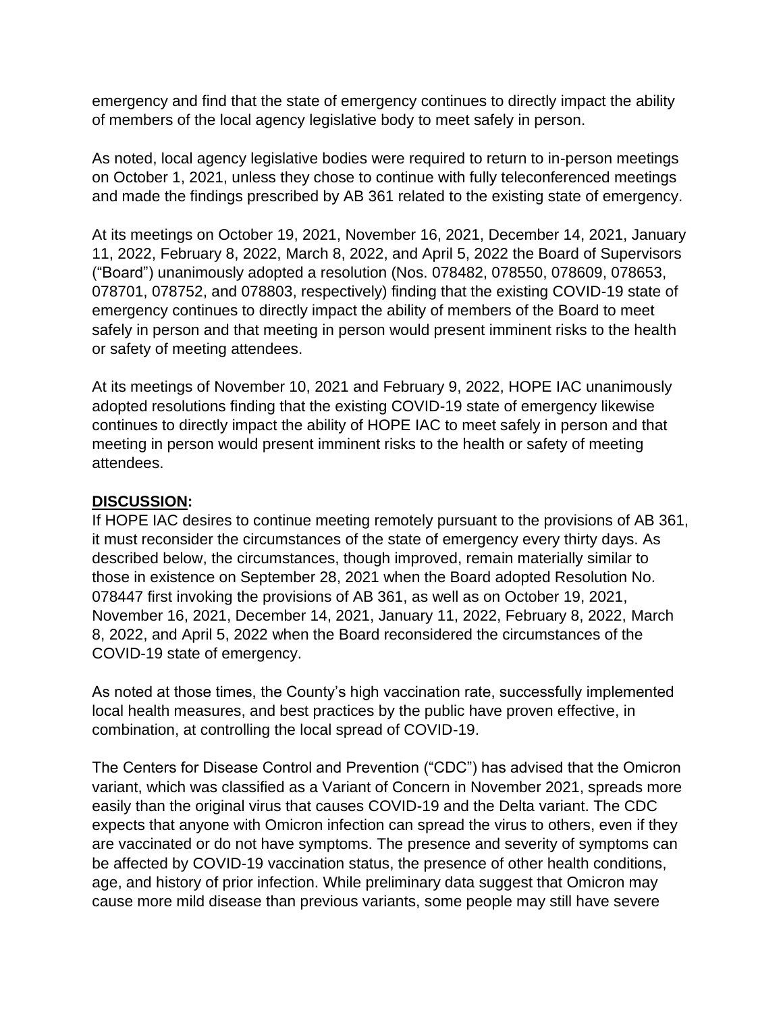emergency and find that the state of emergency continues to directly impact the ability of members of the local agency legislative body to meet safely in person.

As noted, local agency legislative bodies were required to return to in-person meetings on October 1, 2021, unless they chose to continue with fully teleconferenced meetings and made the findings prescribed by AB 361 related to the existing state of emergency.

At its meetings on October 19, 2021, November 16, 2021, December 14, 2021, January 11, 2022, February 8, 2022, March 8, 2022, and April 5, 2022 the Board of Supervisors ("Board") unanimously adopted a resolution (Nos. 078482, 078550, 078609, 078653, 078701, 078752, and 078803, respectively) finding that the existing COVID-19 state of emergency continues to directly impact the ability of members of the Board to meet safely in person and that meeting in person would present imminent risks to the health or safety of meeting attendees.

At its meetings of November 10, 2021 and February 9, 2022, HOPE IAC unanimously adopted resolutions finding that the existing COVID-19 state of emergency likewise continues to directly impact the ability of HOPE IAC to meet safely in person and that meeting in person would present imminent risks to the health or safety of meeting attendees.

# **DISCUSSION:**

If HOPE IAC desires to continue meeting remotely pursuant to the provisions of AB 361, it must reconsider the circumstances of the state of emergency every thirty days. As described below, the circumstances, though improved, remain materially similar to those in existence on September 28, 2021 when the Board adopted Resolution No. 078447 first invoking the provisions of AB 361, as well as on October 19, 2021, November 16, 2021, December 14, 2021, January 11, 2022, February 8, 2022, March 8, 2022, and April 5, 2022 when the Board reconsidered the circumstances of the COVID-19 state of emergency.

As noted at those times, the County's high vaccination rate, successfully implemented local health measures, and best practices by the public have proven effective, in combination, at controlling the local spread of COVID-19.

The Centers for Disease Control and Prevention ("CDC") has advised that the Omicron variant, which was classified as a Variant of Concern in November 2021, spreads more easily than the original virus that causes COVID-19 and the Delta variant. The CDC expects that anyone with Omicron infection can spread the virus to others, even if they are vaccinated or do not have symptoms. The presence and severity of symptoms can be affected by COVID-19 vaccination status, the presence of other health conditions, age, and history of prior infection. While preliminary data suggest that Omicron may cause more mild disease than previous variants, some people may still have severe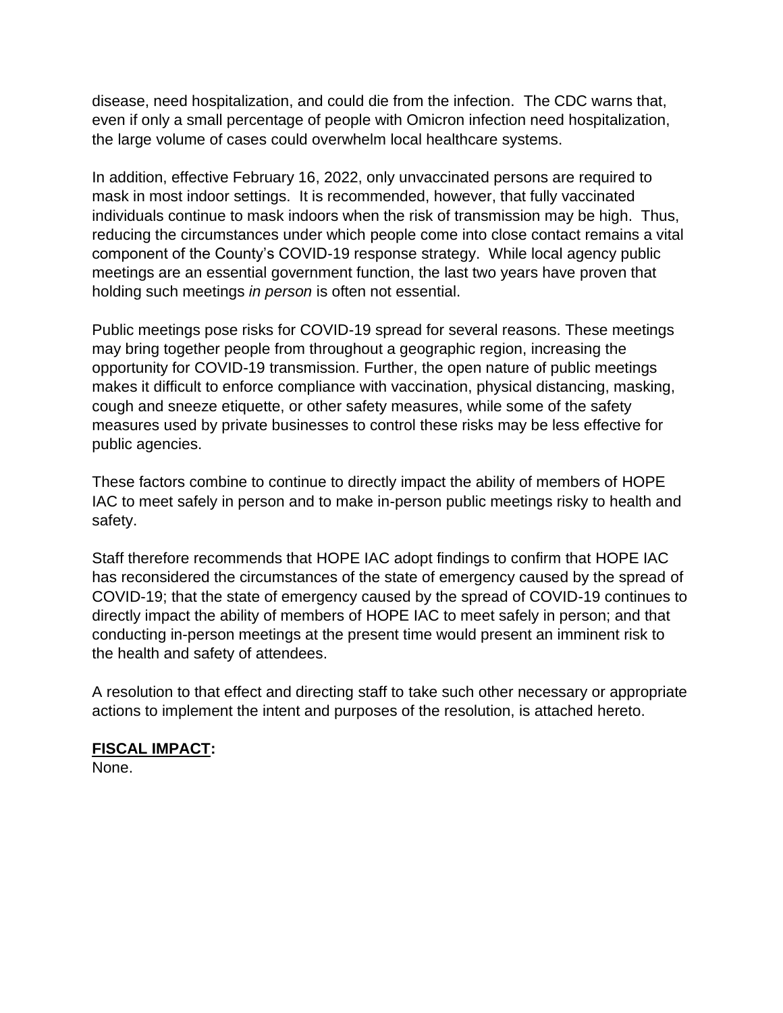disease, need hospitalization, and could die from the infection. The CDC warns that, even if only a small percentage of people with Omicron infection need hospitalization, the large volume of cases could overwhelm local healthcare systems.

In addition, effective February 16, 2022, only unvaccinated persons are required to mask in most indoor settings. It is recommended, however, that fully vaccinated individuals continue to mask indoors when the risk of transmission may be high. Thus, reducing the circumstances under which people come into close contact remains a vital component of the County's COVID-19 response strategy. While local agency public meetings are an essential government function, the last two years have proven that holding such meetings *in person* is often not essential.

Public meetings pose risks for COVID-19 spread for several reasons. These meetings may bring together people from throughout a geographic region, increasing the opportunity for COVID-19 transmission. Further, the open nature of public meetings makes it difficult to enforce compliance with vaccination, physical distancing, masking, cough and sneeze etiquette, or other safety measures, while some of the safety measures used by private businesses to control these risks may be less effective for public agencies.

These factors combine to continue to directly impact the ability of members of HOPE IAC to meet safely in person and to make in-person public meetings risky to health and safety.

Staff therefore recommends that HOPE IAC adopt findings to confirm that HOPE IAC has reconsidered the circumstances of the state of emergency caused by the spread of COVID-19; that the state of emergency caused by the spread of COVID-19 continues to directly impact the ability of members of HOPE IAC to meet safely in person; and that conducting in-person meetings at the present time would present an imminent risk to the health and safety of attendees.

A resolution to that effect and directing staff to take such other necessary or appropriate actions to implement the intent and purposes of the resolution, is attached hereto.

# **FISCAL IMPACT:**

None.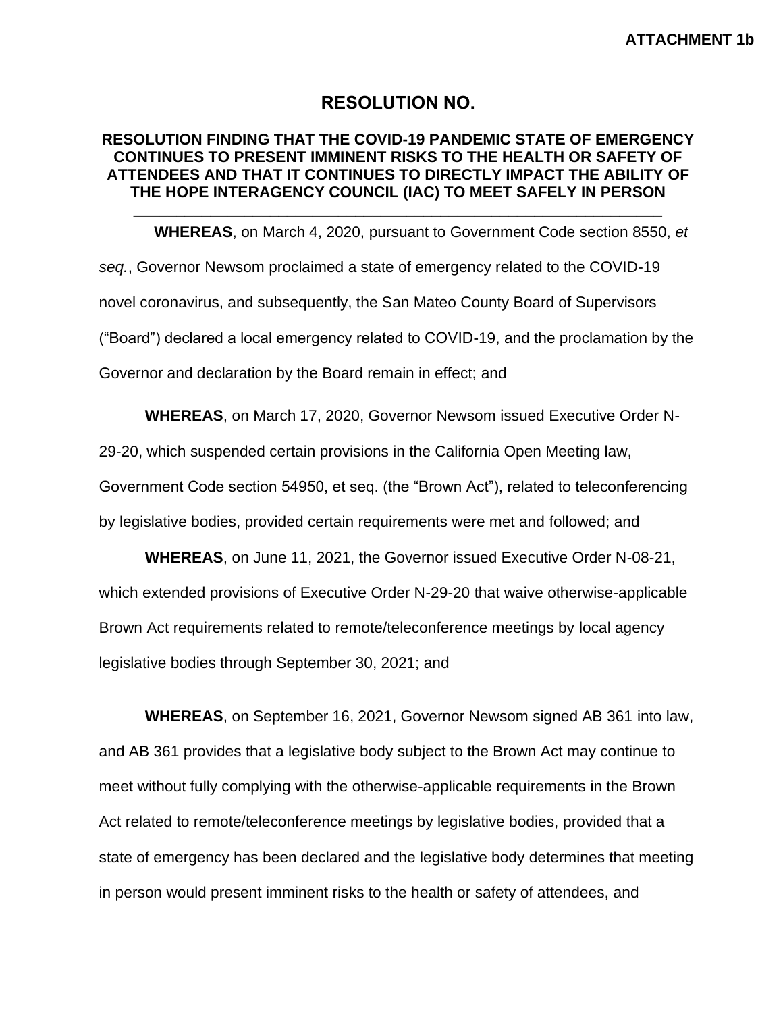## **RESOLUTION NO.**

## **RESOLUTION FINDING THAT THE COVID-19 PANDEMIC STATE OF EMERGENCY CONTINUES TO PRESENT IMMINENT RISKS TO THE HEALTH OR SAFETY OF ATTENDEES AND THAT IT CONTINUES TO DIRECTLY IMPACT THE ABILITY OF THE HOPE INTERAGENCY COUNCIL (IAC) TO MEET SAFELY IN PERSON**

**\_\_\_\_\_\_\_\_\_\_\_\_\_\_\_\_\_\_\_\_\_\_\_\_\_\_\_\_\_\_\_\_\_\_\_\_\_\_\_\_\_\_\_\_\_\_\_\_\_\_\_\_\_\_\_\_\_\_\_\_\_\_**

**WHEREAS**, on March 4, 2020, pursuant to Government Code section 8550, *et seq.*, Governor Newsom proclaimed a state of emergency related to the COVID-19 novel coronavirus, and subsequently, the San Mateo County Board of Supervisors ("Board") declared a local emergency related to COVID-19, and the proclamation by the Governor and declaration by the Board remain in effect; and

**WHEREAS**, on March 17, 2020, Governor Newsom issued Executive Order N-

29-20, which suspended certain provisions in the California Open Meeting law,

Government Code section 54950, et seq. (the "Brown Act"), related to teleconferencing by legislative bodies, provided certain requirements were met and followed; and

**WHEREAS**, on June 11, 2021, the Governor issued Executive Order N-08-21, which extended provisions of Executive Order N-29-20 that waive otherwise-applicable Brown Act requirements related to remote/teleconference meetings by local agency legislative bodies through September 30, 2021; and

**WHEREAS**, on September 16, 2021, Governor Newsom signed AB 361 into law, and AB 361 provides that a legislative body subject to the Brown Act may continue to meet without fully complying with the otherwise-applicable requirements in the Brown Act related to remote/teleconference meetings by legislative bodies, provided that a state of emergency has been declared and the legislative body determines that meeting in person would present imminent risks to the health or safety of attendees, and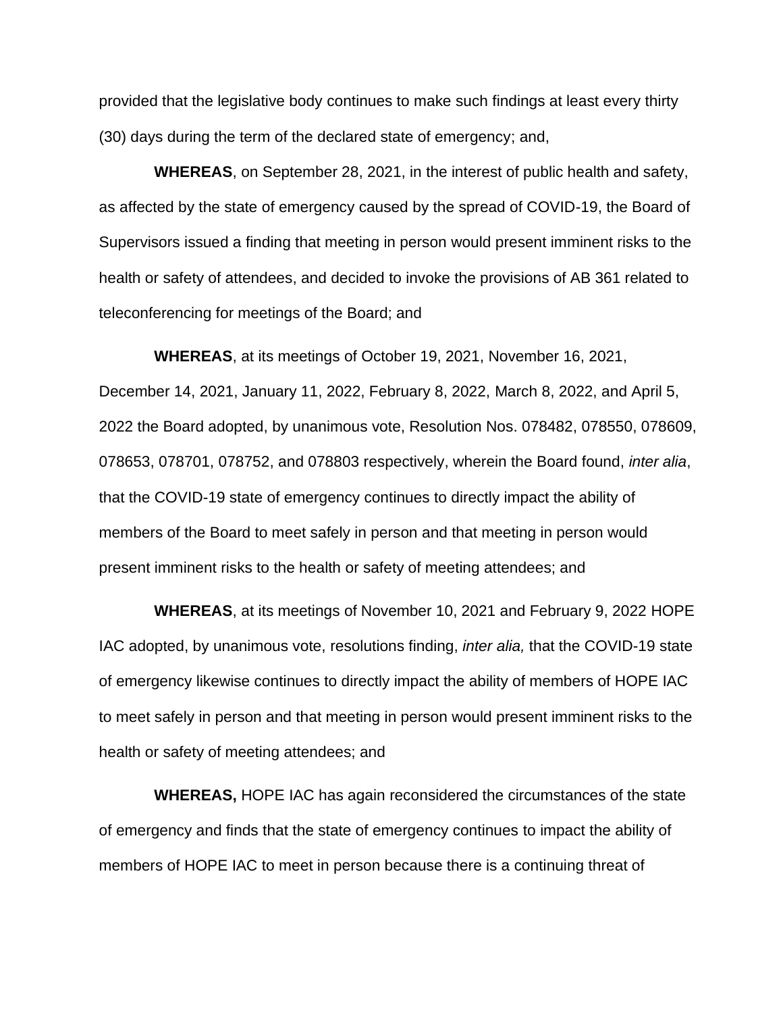provided that the legislative body continues to make such findings at least every thirty (30) days during the term of the declared state of emergency; and,

**WHEREAS**, on September 28, 2021, in the interest of public health and safety, as affected by the state of emergency caused by the spread of COVID-19, the Board of Supervisors issued a finding that meeting in person would present imminent risks to the health or safety of attendees, and decided to invoke the provisions of AB 361 related to teleconferencing for meetings of the Board; and

**WHEREAS**, at its meetings of October 19, 2021, November 16, 2021, December 14, 2021, January 11, 2022, February 8, 2022, March 8, 2022, and April 5, 2022 the Board adopted, by unanimous vote, Resolution Nos. 078482, 078550, 078609, 078653, 078701, 078752, and 078803 respectively, wherein the Board found, *inter alia*, that the COVID-19 state of emergency continues to directly impact the ability of members of the Board to meet safely in person and that meeting in person would present imminent risks to the health or safety of meeting attendees; and

**WHEREAS**, at its meetings of November 10, 2021 and February 9, 2022 HOPE IAC adopted, by unanimous vote, resolutions finding, *inter alia,* that the COVID-19 state of emergency likewise continues to directly impact the ability of members of HOPE IAC to meet safely in person and that meeting in person would present imminent risks to the health or safety of meeting attendees; and

**WHEREAS,** HOPE IAC has again reconsidered the circumstances of the state of emergency and finds that the state of emergency continues to impact the ability of members of HOPE IAC to meet in person because there is a continuing threat of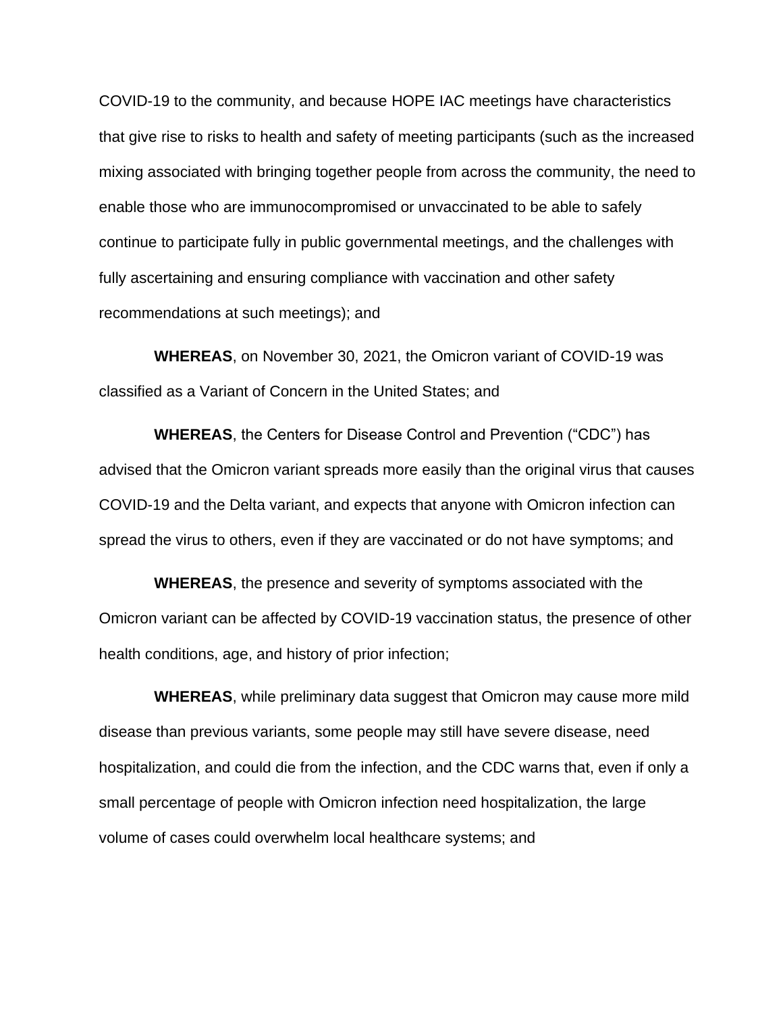COVID-19 to the community, and because HOPE IAC meetings have characteristics that give rise to risks to health and safety of meeting participants (such as the increased mixing associated with bringing together people from across the community, the need to enable those who are immunocompromised or unvaccinated to be able to safely continue to participate fully in public governmental meetings, and the challenges with fully ascertaining and ensuring compliance with vaccination and other safety recommendations at such meetings); and

**WHEREAS**, on November 30, 2021, the Omicron variant of COVID-19 was classified as a Variant of Concern in the United States; and

**WHEREAS**, the Centers for Disease Control and Prevention ("CDC") has advised that the Omicron variant spreads more easily than the original virus that causes COVID-19 and the Delta variant, and expects that anyone with Omicron infection can spread the virus to others, even if they are vaccinated or do not have symptoms; and

**WHEREAS**, the presence and severity of symptoms associated with the Omicron variant can be affected by COVID-19 vaccination status, the presence of other health conditions, age, and history of prior infection;

**WHEREAS**, while preliminary data suggest that Omicron may cause more mild disease than previous variants, some people may still have severe disease, need hospitalization, and could die from the infection, and the CDC warns that, even if only a small percentage of people with Omicron infection need hospitalization, the large volume of cases could overwhelm local healthcare systems; and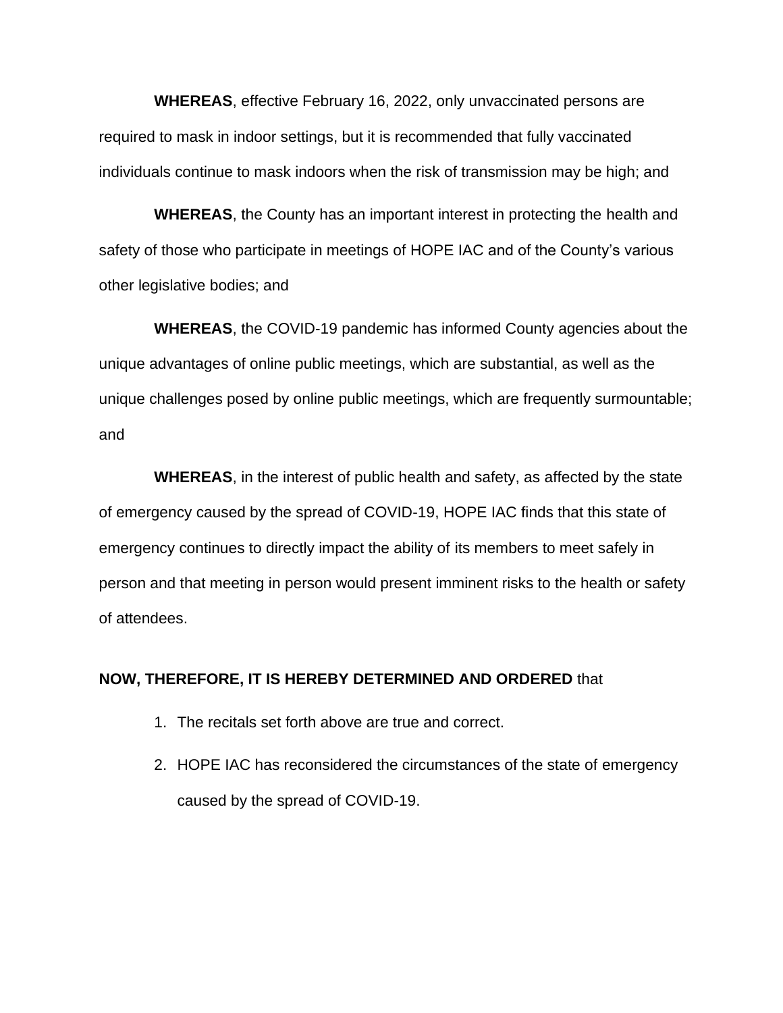**WHEREAS**, effective February 16, 2022, only unvaccinated persons are required to mask in indoor settings, but it is recommended that fully vaccinated individuals continue to mask indoors when the risk of transmission may be high; and

**WHEREAS**, the County has an important interest in protecting the health and safety of those who participate in meetings of HOPE IAC and of the County's various other legislative bodies; and

**WHEREAS**, the COVID-19 pandemic has informed County agencies about the unique advantages of online public meetings, which are substantial, as well as the unique challenges posed by online public meetings, which are frequently surmountable; and

**WHEREAS**, in the interest of public health and safety, as affected by the state of emergency caused by the spread of COVID-19, HOPE IAC finds that this state of emergency continues to directly impact the ability of its members to meet safely in person and that meeting in person would present imminent risks to the health or safety of attendees.

## **NOW, THEREFORE, IT IS HEREBY DETERMINED AND ORDERED** that

- 1. The recitals set forth above are true and correct.
- 2. HOPE IAC has reconsidered the circumstances of the state of emergency caused by the spread of COVID-19.